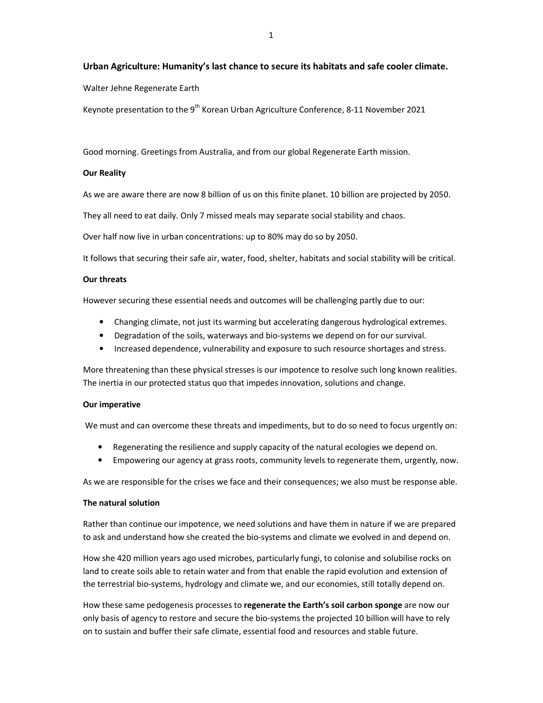# **Urban Agriculture: Humanity's last chance to secure its habitats and safe cooler climate.**

Walter Jehne Regenerate Earth

Keynote presentation to the 9<sup>th</sup> Korean Urban Agriculture Conference, 8-11 November 2021

Good morning. Greetings from Australia, and from our global Regenerate Earth mission.

### **Our Reality**

As we are aware there are now 8 billion of us on this finite planet. 10 billion are projected by 2050.

They all need to eat daily. Only 7 missed meals may separate social stability and chaos.

Over half now live in urban concentrations: up to 80% may do so by 2050.

It follows that securing their safe air, water, food, shelter, habitats and social stability will be critical.

#### **Our threats**

However securing these essential needs and outcomes will be challenging partly due to our:

- Changing climate, not just its warming but accelerating dangerous hydrological extremes.
- Degradation of the soils, waterways and bio-systems we depend on for our survival.
- Increased dependence, vulnerability and exposure to such resource shortages and stress.

More threatening than these physical stresses is our impotence to resolve such long known realities. The inertia in our protected status quo that impedes innovation, solutions and change.

#### **Our imperative**

We must and can overcome these threats and impediments, but to do so need to focus urgently on:

- Regenerating the resilience and supply capacity of the natural ecologies we depend on.
- Empowering our agency at grass roots, community levels to regenerate them, urgently, now.

As we are responsible for the crises we face and their consequences; we also must be response able.

### **The natural solution**

Rather than continue our impotence, we need solutions and have them in nature if we are prepared to ask and understand how she created the bio-systems and climate we evolved in and depend on.

How she 420 million years ago used microbes, particularly fungi, to colonise and solubilise rocks on land to create soils able to retain water and from that enable the rapid evolution and extension of the terrestrial bio-systems, hydrology and climate we, and our economies, still totally depend on.

How these same pedogenesis processes to **regenerate the Earth's soil carbon sponge** are now our only basis of agency to restore and secure the bio-systems the projected 10 billion will have to rely on to sustain and buffer their safe climate, essential food and resources and stable future.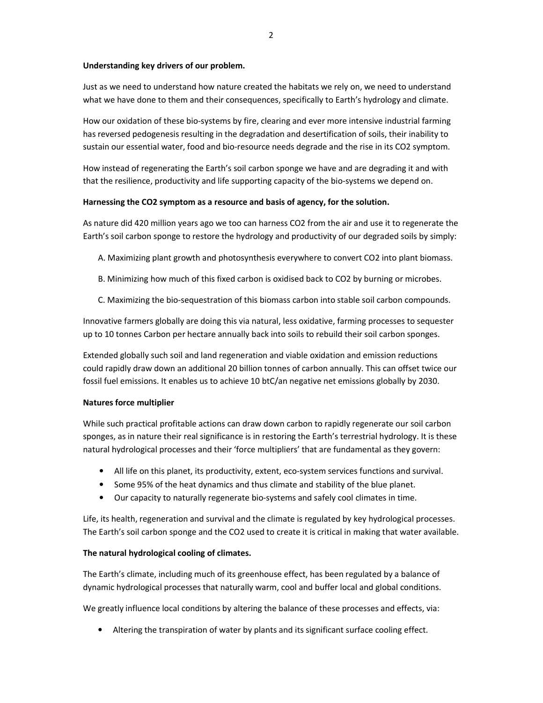# **Understanding key drivers of our problem.**

Just as we need to understand how nature created the habitats we rely on, we need to understand what we have done to them and their consequences, specifically to Earth's hydrology and climate.

How our oxidation of these bio-systems by fire, clearing and ever more intensive industrial farming has reversed pedogenesis resulting in the degradation and desertification of soils, their inability to sustain our essential water, food and bio-resource needs degrade and the rise in its CO2 symptom.

How instead of regenerating the Earth's soil carbon sponge we have and are degrading it and with that the resilience, productivity and life supporting capacity of the bio-systems we depend on.

# **Harnessing the CO2 symptom as a resource and basis of agency, for the solution.**

As nature did 420 million years ago we too can harness CO2 from the air and use it to regenerate the Earth's soil carbon sponge to restore the hydrology and productivity of our degraded soils by simply:

- A. Maximizing plant growth and photosynthesis everywhere to convert CO2 into plant biomass.
- B. Minimizing how much of this fixed carbon is oxidised back to CO2 by burning or microbes.
- C. Maximizing the bio-sequestration of this biomass carbon into stable soil carbon compounds.

Innovative farmers globally are doing this via natural, less oxidative, farming processes to sequester up to 10 tonnes Carbon per hectare annually back into soils to rebuild their soil carbon sponges.

Extended globally such soil and land regeneration and viable oxidation and emission reductions could rapidly draw down an additional 20 billion tonnes of carbon annually. This can offset twice our fossil fuel emissions. It enables us to achieve 10 btC/an negative net emissions globally by 2030.

# **Natures force multiplier**

While such practical profitable actions can draw down carbon to rapidly regenerate our soil carbon sponges, as in nature their real significance is in restoring the Earth's terrestrial hydrology. It is these natural hydrological processes and their 'force multipliers' that are fundamental as they govern:

- All life on this planet, its productivity, extent, eco-system services functions and survival.
- Some 95% of the heat dynamics and thus climate and stability of the blue planet.
- Our capacity to naturally regenerate bio-systems and safely cool climates in time.

Life, its health, regeneration and survival and the climate is regulated by key hydrological processes. The Earth's soil carbon sponge and the CO2 used to create it is critical in making that water available.

# **The natural hydrological cooling of climates.**

The Earth's climate, including much of its greenhouse effect, has been regulated by a balance of dynamic hydrological processes that naturally warm, cool and buffer local and global conditions.

We greatly influence local conditions by altering the balance of these processes and effects, via:

• Altering the transpiration of water by plants and its significant surface cooling effect.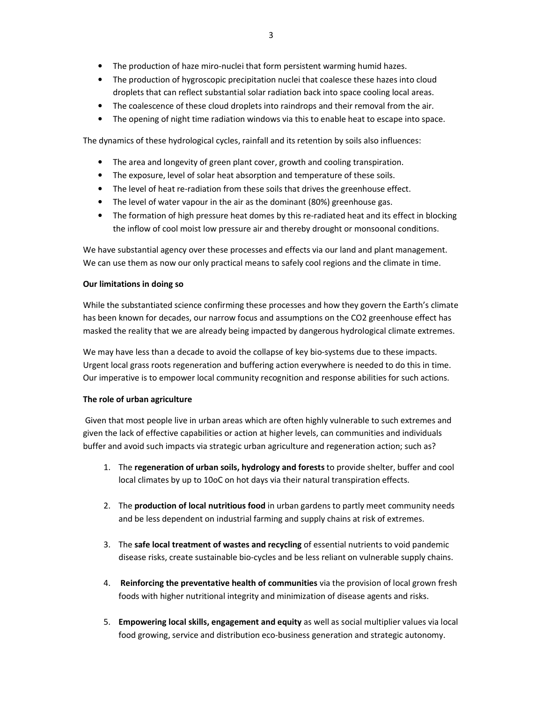- The production of haze miro-nuclei that form persistent warming humid hazes.
- The production of hygroscopic precipitation nuclei that coalesce these hazes into cloud droplets that can reflect substantial solar radiation back into space cooling local areas.
- The coalescence of these cloud droplets into raindrops and their removal from the air.
- The opening of night time radiation windows via this to enable heat to escape into space.

The dynamics of these hydrological cycles, rainfall and its retention by soils also influences:

- The area and longevity of green plant cover, growth and cooling transpiration.
- The exposure, level of solar heat absorption and temperature of these soils.
- The level of heat re-radiation from these soils that drives the greenhouse effect.
- The level of water vapour in the air as the dominant (80%) greenhouse gas.
- The formation of high pressure heat domes by this re-radiated heat and its effect in blocking the inflow of cool moist low pressure air and thereby drought or monsoonal conditions.

We have substantial agency over these processes and effects via our land and plant management. We can use them as now our only practical means to safely cool regions and the climate in time.

### **Our limitations in doing so**

While the substantiated science confirming these processes and how they govern the Earth's climate has been known for decades, our narrow focus and assumptions on the CO2 greenhouse effect has masked the reality that we are already being impacted by dangerous hydrological climate extremes.

We may have less than a decade to avoid the collapse of key bio-systems due to these impacts. Urgent local grass roots regeneration and buffering action everywhere is needed to do this in time. Our imperative is to empower local community recognition and response abilities for such actions.

# **The role of urban agriculture**

 Given that most people live in urban areas which are often highly vulnerable to such extremes and given the lack of effective capabilities or action at higher levels, can communities and individuals buffer and avoid such impacts via strategic urban agriculture and regeneration action; such as?

- 1. The **regeneration of urban soils, hydrology and forests** to provide shelter, buffer and cool local climates by up to 10oC on hot days via their natural transpiration effects.
- 2. The **production of local nutritious food** in urban gardens to partly meet community needs and be less dependent on industrial farming and supply chains at risk of extremes.
- 3. The **safe local treatment of wastes and recycling** of essential nutrients to void pandemic disease risks, create sustainable bio-cycles and be less reliant on vulnerable supply chains.
- 4. **Reinforcing the preventative health of communities** via the provision of local grown fresh foods with higher nutritional integrity and minimization of disease agents and risks.
- 5. **Empowering local skills, engagement and equity** as well as social multiplier values via local food growing, service and distribution eco-business generation and strategic autonomy.